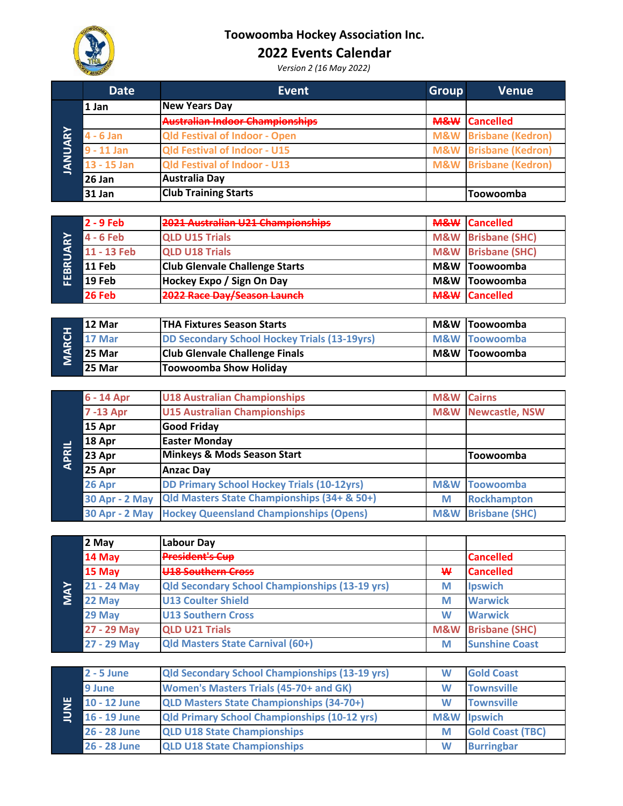

## **Toowoomba Hockey Association Inc.**

## **2022 Events Calendar**

*Version 2 (16 May 2022)*

|                                                | <b>Date</b>  | <b>Event</b>                         | <b>Group</b> | <b>Venue</b>                     |
|------------------------------------------------|--------------|--------------------------------------|--------------|----------------------------------|
|                                                | 1 Jan        | <b>New Years Day</b>                 |              |                                  |
| $\mathbf{R}^{\prime}$<br>⋖<br>Б<br><b>IANI</b> |              | Australian Indoor Championships      |              | <b>M&amp;W Cancelled</b>         |
|                                                | $4 - 6$ Jan  | <b>Qld Festival of Indoor - Open</b> |              | <b>M&amp;W</b> Brisbane (Kedron) |
|                                                | $9 - 11$ Jan | Qld Festival of Indoor - U15         |              | <b>M&amp;W</b> Brisbane (Kedron) |
|                                                | 13 - 15 Jan  | <b>Qld Festival of Indoor - U13</b>  |              | <b>M&amp;W</b> Brisbane (Kedron) |
|                                                | l 26 Jan     | <b>Australia Day</b>                 |              |                                  |
|                                                | 31 Jan       | <b>Club Training Starts</b>          |              | <b>Toowoomba</b>                 |

|                                               | l 2 - 9 Feb   | 2021 Australian U21 Championships     |                | <b>M&amp;W Cancelled</b> |
|-----------------------------------------------|---------------|---------------------------------------|----------------|--------------------------|
| ⋖<br>$\overline{\alpha}$<br>$\mathbf{a}$<br>푼 | $4 - 6$ Feb   | <b>QLD U15 Trials</b>                 |                | M&W Brisbane (SHC)       |
|                                               | 11 - 13 Feb   | <b>QLD U18 Trials</b>                 |                | M&W Brisbane (SHC)       |
|                                               | <b>11 Feb</b> | <b>Club Glenvale Challenge Starts</b> | <b>M&amp;W</b> | <b>Toowoomba</b>         |
|                                               | 19 Feb        | Hockey Expo / Sign On Day             | <b>M&amp;W</b> | <b>Toowoomba</b>         |
|                                               | 26 Feb        | 2022 Race Day/Season Launch           |                | <b>M&amp;W</b> Cancelled |

|  | 12 Mar        | <b>THA Fixtures Season Starts</b>                   |                | M&W Toowoomba    |
|--|---------------|-----------------------------------------------------|----------------|------------------|
|  | 17 Mar        | <b>DD Secondary School Hockey Trials (13-19yrs)</b> |                | M&W Toowoomba    |
|  | <b>25 Mar</b> | <b>Club Glenvale Challenge Finals</b>               | <b>M&amp;W</b> | <b>Toowoomba</b> |
|  | l25 Mar       | <b>Toowoomba Show Holiday</b>                       |                |                  |

| <b>APRIL</b> | 6 - 14 Apr            | <b>U18 Australian Championships</b>               | <b>M&amp;W</b> Cairns |                               |
|--------------|-----------------------|---------------------------------------------------|-----------------------|-------------------------------|
|              | 7-13 Apr              | <b>U15 Australian Championships</b>               |                       | <b>M&amp;W</b> Newcastle, NSW |
|              | 15 Apr                | <b>Good Friday</b>                                |                       |                               |
|              | 18 Apr                | <b>Easter Monday</b>                              |                       |                               |
|              | 23 Apr                | Minkeys & Mods Season Start                       |                       | Toowoomba                     |
|              | 25 Apr                | <b>Anzac Day</b>                                  |                       |                               |
|              | 26 Apr                | <b>DD Primary School Hockey Trials (10-12yrs)</b> | <b>M&amp;W</b>        | <b>Toowoomba</b>              |
|              | <b>30 Apr - 2 May</b> | Qld Masters State Championships (34+ & 50+)       | M                     | <b>Rockhampton</b>            |
|              | <b>30 Apr - 2 May</b> | <b>Hockey Queensland Championships (Opens)</b>    |                       | <b>M&amp;W</b> Brisbane (SHC) |

|   | 2 May       | <b>Labour Day</b>                                     |   |                               |
|---|-------------|-------------------------------------------------------|---|-------------------------------|
|   | 14 May      | <b>President's Cup</b>                                |   | <b>Cancelled</b>              |
| ๔ | 15 May      | <b>U18 Southern Cross</b>                             | ₩ | <b>Cancelled</b>              |
|   | 21 - 24 May | <b>Qld Secondary School Championships (13-19 yrs)</b> | М | <b>Ipswich</b>                |
|   | 22 May      | <b>U13 Coulter Shield</b>                             | M | <b>Warwick</b>                |
|   | 29 May      | <b>U13 Southern Cross</b>                             | W | <b>Warwick</b>                |
|   | 27 - 29 May | <b>QLD U21 Trials</b>                                 |   | <b>M&amp;W</b> Brisbane (SHC) |
|   | 27 - 29 May | Qld Masters State Carnival (60+)                      | М | <b>Sunshine Coast</b>         |

|                | $2 - 5$ June | <b>Qld Secondary School Championships (13-19 yrs)</b> | W | <b>Gold Coast</b>       |
|----------------|--------------|-------------------------------------------------------|---|-------------------------|
| $\overline{z}$ | 9 June       | Women's Masters Trials (45-70+ and GK)                | W | <b>Townsville</b>       |
|                | 10 - 12 June | <b>QLD Masters State Championships (34-70+)</b>       | W | <b>Townsville</b>       |
|                | 16 - 19 June | <b>Qld Primary School Championships (10-12 yrs)</b>   |   | M&W Ipswich             |
|                | 26 - 28 June | <b>QLD U18 State Championships</b>                    | M | <b>Gold Coast (TBC)</b> |
|                | 26 - 28 June | <b>QLD U18 State Championships</b>                    | W | <b>Burringbar</b>       |